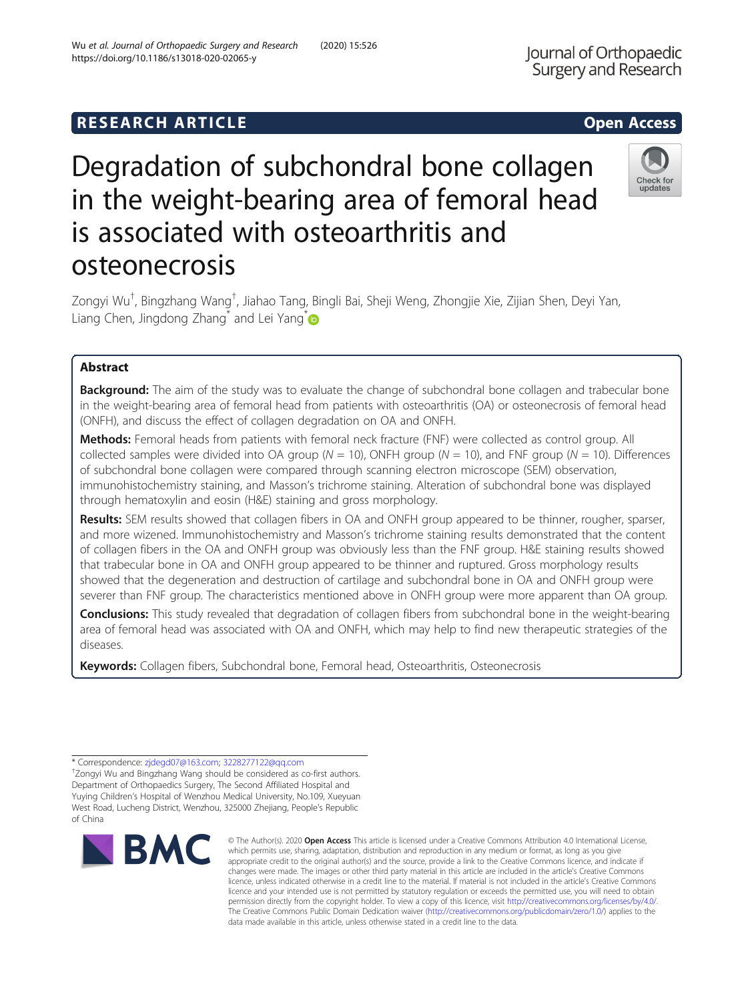# **RESEARCH ARTICLE Example 2014 12:30 The SEAR CH ACCESS**

# Degradation of subchondral bone collagen in the weight-bearing area of femoral head is associated with osteoarthritis and osteonecrosis

Zongyi Wu<sup>†</sup>, Bingzhang Wang<sup>†</sup>, Jiahao Tang, Bingli Bai, Sheji Weng, Zhongjie Xie, Zijian Shen, Deyi Yan, Liang Chen, Jingdong Zhang<sup>[\\*](http://orcid.org/0000-0002-8918-068X)</sup> and Lei Yang<sup>\*</sup>

# Abstract

**Background:** The aim of the study was to evaluate the change of subchondral bone collagen and trabecular bone in the weight-bearing area of femoral head from patients with osteoarthritis (OA) or osteonecrosis of femoral head (ONFH), and discuss the effect of collagen degradation on OA and ONFH.

Methods: Femoral heads from patients with femoral neck fracture (FNF) were collected as control group. All collected samples were divided into OA group ( $N = 10$ ), ONFH group ( $N = 10$ ), and FNF group ( $N = 10$ ). Differences of subchondral bone collagen were compared through scanning electron microscope (SEM) observation, immunohistochemistry staining, and Masson's trichrome staining. Alteration of subchondral bone was displayed through hematoxylin and eosin (H&E) staining and gross morphology.

Results: SEM results showed that collagen fibers in OA and ONFH group appeared to be thinner, rougher, sparser, and more wizened. Immunohistochemistry and Masson's trichrome staining results demonstrated that the content of collagen fibers in the OA and ONFH group was obviously less than the FNF group. H&E staining results showed that trabecular bone in OA and ONFH group appeared to be thinner and ruptured. Gross morphology results showed that the degeneration and destruction of cartilage and subchondral bone in OA and ONFH group were severer than FNF group. The characteristics mentioned above in ONFH group were more apparent than OA group.

Conclusions: This study revealed that degradation of collagen fibers from subchondral bone in the weight-bearing area of femoral head was associated with OA and ONFH, which may help to find new therapeutic strategies of the diseases.

Keywords: Collagen fibers, Subchondral bone, Femoral head, Osteoarthritis, Osteonecrosis

\* Correspondence: [zjdegd07@163.com;](mailto:zjdegd07@163.com) [3228277122@qq.com](mailto:3228277122@qq.com) †

BMC

<sup>+</sup>Zongyi Wu and Bingzhang Wang should be considered as co-first authors. Department of Orthopaedics Surgery, The Second Affiliated Hospital and Yuying Children's Hospital of Wenzhou Medical University, No.109, Xueyuan West Road, Lucheng District, Wenzhou, 325000 Zhejiang, People's Republic of China







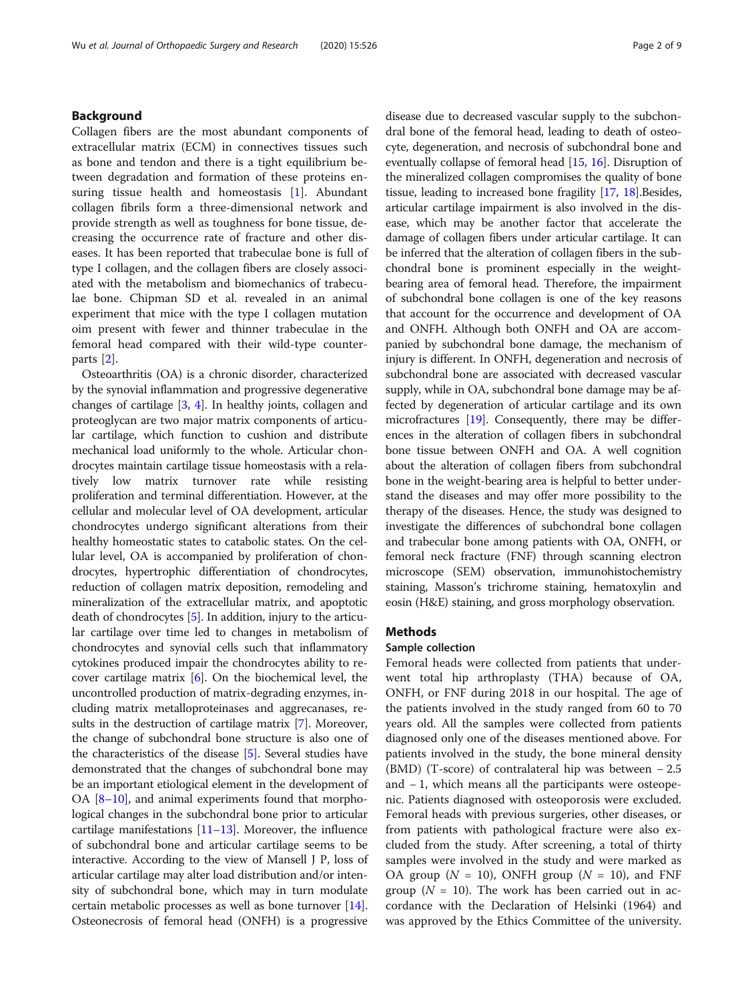# Background

Collagen fibers are the most abundant components of extracellular matrix (ECM) in connectives tissues such as bone and tendon and there is a tight equilibrium between degradation and formation of these proteins ensuring tissue health and homeostasis [\[1](#page-8-0)]. Abundant collagen fibrils form a three-dimensional network and provide strength as well as toughness for bone tissue, decreasing the occurrence rate of fracture and other diseases. It has been reported that trabeculae bone is full of type I collagen, and the collagen fibers are closely associated with the metabolism and biomechanics of trabeculae bone. Chipman SD et al. revealed in an animal experiment that mice with the type I collagen mutation oim present with fewer and thinner trabeculae in the femoral head compared with their wild-type counterparts [\[2\]](#page-8-0).

Osteoarthritis (OA) is a chronic disorder, characterized by the synovial inflammation and progressive degenerative changes of cartilage [\[3](#page-8-0), [4\]](#page-8-0). In healthy joints, collagen and proteoglycan are two major matrix components of articular cartilage, which function to cushion and distribute mechanical load uniformly to the whole. Articular chondrocytes maintain cartilage tissue homeostasis with a relatively low matrix turnover rate while resisting proliferation and terminal differentiation. However, at the cellular and molecular level of OA development, articular chondrocytes undergo significant alterations from their healthy homeostatic states to catabolic states. On the cellular level, OA is accompanied by proliferation of chondrocytes, hypertrophic differentiation of chondrocytes, reduction of collagen matrix deposition, remodeling and mineralization of the extracellular matrix, and apoptotic death of chondrocytes [[5\]](#page-8-0). In addition, injury to the articular cartilage over time led to changes in metabolism of chondrocytes and synovial cells such that inflammatory cytokines produced impair the chondrocytes ability to recover cartilage matrix [[6](#page-8-0)]. On the biochemical level, the uncontrolled production of matrix-degrading enzymes, including matrix metalloproteinases and aggrecanases, results in the destruction of cartilage matrix [[7](#page-8-0)]. Moreover, the change of subchondral bone structure is also one of the characteristics of the disease [\[5](#page-8-0)]. Several studies have demonstrated that the changes of subchondral bone may be an important etiological element in the development of OA [[8](#page-8-0)–[10](#page-8-0)], and animal experiments found that morphological changes in the subchondral bone prior to articular cartilage manifestations  $[11–13]$  $[11–13]$  $[11–13]$  $[11–13]$ . Moreover, the influence of subchondral bone and articular cartilage seems to be interactive. According to the view of Mansell J P, loss of articular cartilage may alter load distribution and/or intensity of subchondral bone, which may in turn modulate certain metabolic processes as well as bone turnover [[14](#page-8-0)]. Osteonecrosis of femoral head (ONFH) is a progressive disease due to decreased vascular supply to the subchondral bone of the femoral head, leading to death of osteocyte, degeneration, and necrosis of subchondral bone and eventually collapse of femoral head [\[15,](#page-8-0) [16](#page-8-0)]. Disruption of the mineralized collagen compromises the quality of bone tissue, leading to increased bone fragility [\[17,](#page-8-0) [18\]](#page-8-0).Besides, articular cartilage impairment is also involved in the disease, which may be another factor that accelerate the damage of collagen fibers under articular cartilage. It can be inferred that the alteration of collagen fibers in the subchondral bone is prominent especially in the weightbearing area of femoral head. Therefore, the impairment of subchondral bone collagen is one of the key reasons that account for the occurrence and development of OA and ONFH. Although both ONFH and OA are accompanied by subchondral bone damage, the mechanism of injury is different. In ONFH, degeneration and necrosis of subchondral bone are associated with decreased vascular supply, while in OA, subchondral bone damage may be affected by degeneration of articular cartilage and its own microfractures [\[19\]](#page-8-0). Consequently, there may be differences in the alteration of collagen fibers in subchondral bone tissue between ONFH and OA. A well cognition about the alteration of collagen fibers from subchondral bone in the weight-bearing area is helpful to better understand the diseases and may offer more possibility to the therapy of the diseases. Hence, the study was designed to investigate the differences of subchondral bone collagen and trabecular bone among patients with OA, ONFH, or femoral neck fracture (FNF) through scanning electron microscope (SEM) observation, immunohistochemistry staining, Masson's trichrome staining, hematoxylin and eosin (H&E) staining, and gross morphology observation.

#### Methods

# Sample collection

Femoral heads were collected from patients that underwent total hip arthroplasty (THA) because of OA, ONFH, or FNF during 2018 in our hospital. The age of the patients involved in the study ranged from 60 to 70 years old. All the samples were collected from patients diagnosed only one of the diseases mentioned above. For patients involved in the study, the bone mineral density (BMD) (T-score) of contralateral hip was between − 2.5 and − 1, which means all the participants were osteopenic. Patients diagnosed with osteoporosis were excluded. Femoral heads with previous surgeries, other diseases, or from patients with pathological fracture were also excluded from the study. After screening, a total of thirty samples were involved in the study and were marked as OA group ( $N = 10$ ), ONFH group ( $N = 10$ ), and FNF group ( $N = 10$ ). The work has been carried out in accordance with the Declaration of Helsinki (1964) and was approved by the Ethics Committee of the university.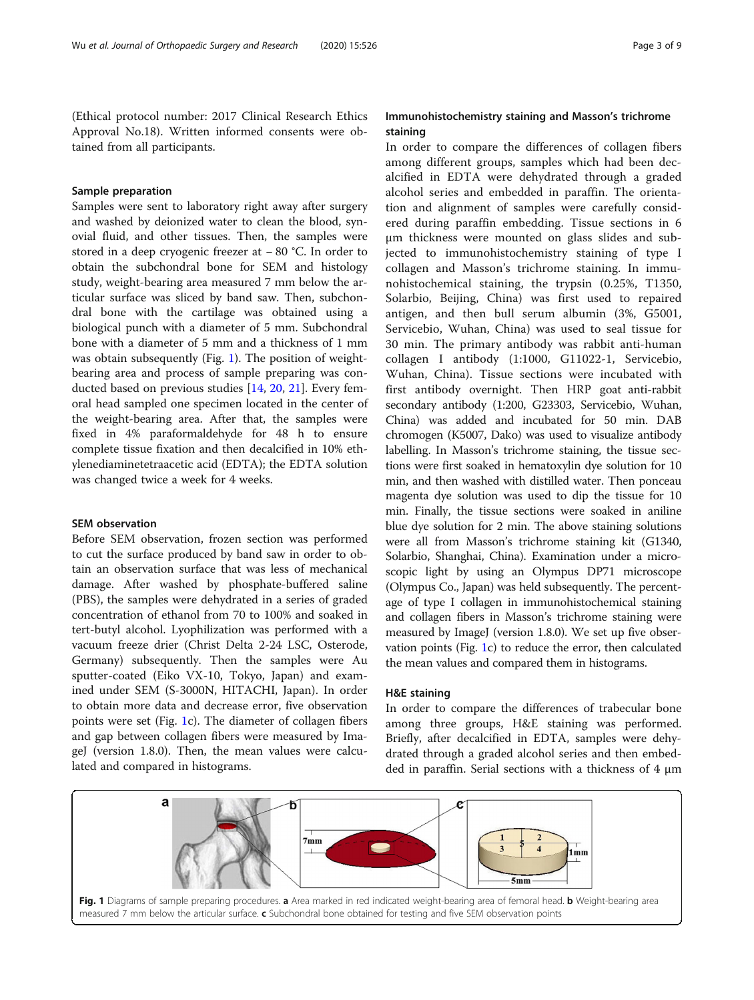<span id="page-2-0"></span>(Ethical protocol number: 2017 Clinical Research Ethics Approval No.18). Written informed consents were obtained from all participants.

#### Sample preparation

Samples were sent to laboratory right away after surgery and washed by deionized water to clean the blood, synovial fluid, and other tissues. Then, the samples were stored in a deep cryogenic freezer at − 80 °C. In order to obtain the subchondral bone for SEM and histology study, weight-bearing area measured 7 mm below the articular surface was sliced by band saw. Then, subchondral bone with the cartilage was obtained using a biological punch with a diameter of 5 mm. Subchondral bone with a diameter of 5 mm and a thickness of 1 mm was obtain subsequently (Fig. 1). The position of weightbearing area and process of sample preparing was conducted based on previous studies [\[14](#page-8-0), [20](#page-8-0), [21\]](#page-8-0). Every femoral head sampled one specimen located in the center of the weight-bearing area. After that, the samples were fixed in 4% paraformaldehyde for 48 h to ensure complete tissue fixation and then decalcified in 10% ethylenediaminetetraacetic acid (EDTA); the EDTA solution was changed twice a week for 4 weeks.

## SEM observation

Before SEM observation, frozen section was performed to cut the surface produced by band saw in order to obtain an observation surface that was less of mechanical damage. After washed by phosphate-buffered saline (PBS), the samples were dehydrated in a series of graded concentration of ethanol from 70 to 100% and soaked in tert-butyl alcohol. Lyophilization was performed with a vacuum freeze drier (Christ Delta 2-24 LSC, Osterode, Germany) subsequently. Then the samples were Au sputter-coated (Eiko VX-10, Tokyo, Japan) and examined under SEM (S-3000N, HITACHI, Japan). In order to obtain more data and decrease error, five observation points were set (Fig. 1c). The diameter of collagen fibers and gap between collagen fibers were measured by ImageJ (version 1.8.0). Then, the mean values were calculated and compared in histograms.

# Immunohistochemistry staining and Masson's trichrome staining

In order to compare the differences of collagen fibers among different groups, samples which had been decalcified in EDTA were dehydrated through a graded alcohol series and embedded in paraffin. The orientation and alignment of samples were carefully considered during paraffin embedding. Tissue sections in 6 μm thickness were mounted on glass slides and subjected to immunohistochemistry staining of type I collagen and Masson's trichrome staining. In immunohistochemical staining, the trypsin (0.25%, T1350, Solarbio, Beijing, China) was first used to repaired antigen, and then bull serum albumin (3%, G5001, Servicebio, Wuhan, China) was used to seal tissue for 30 min. The primary antibody was rabbit anti-human collagen I antibody (1:1000, G11022-1, Servicebio, Wuhan, China). Tissue sections were incubated with first antibody overnight. Then HRP goat anti-rabbit secondary antibody (1:200, G23303, Servicebio, Wuhan, China) was added and incubated for 50 min. DAB chromogen (K5007, Dako) was used to visualize antibody labelling. In Masson's trichrome staining, the tissue sections were first soaked in hematoxylin dye solution for 10 min, and then washed with distilled water. Then ponceau magenta dye solution was used to dip the tissue for 10 min. Finally, the tissue sections were soaked in aniline blue dye solution for 2 min. The above staining solutions were all from Masson's trichrome staining kit (G1340, Solarbio, Shanghai, China). Examination under a microscopic light by using an Olympus DP71 microscope (Olympus Co., Japan) was held subsequently. The percentage of type I collagen in immunohistochemical staining and collagen fibers in Masson's trichrome staining were measured by ImageJ (version 1.8.0). We set up five observation points (Fig. 1c) to reduce the error, then calculated the mean values and compared them in histograms.

#### H&E staining

In order to compare the differences of trabecular bone among three groups, H&E staining was performed. Briefly, after decalcified in EDTA, samples were dehydrated through a graded alcohol series and then embedded in paraffin. Serial sections with a thickness of  $4 \mu m$ 

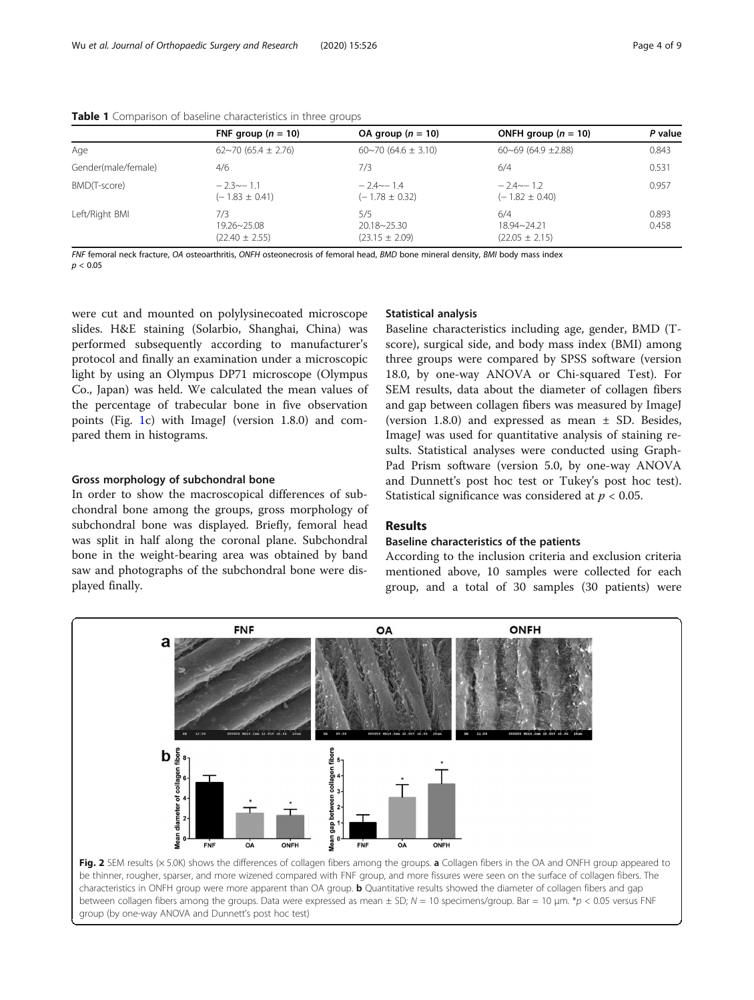|                                                            | FNF group $(n = 10)$               | OA group $(n = 10)$                          | ONFH group $(n = 10)$                    | P value<br>0.843 |  |
|------------------------------------------------------------|------------------------------------|----------------------------------------------|------------------------------------------|------------------|--|
| Age                                                        | $62~10$ (65.4 $\pm$ 2.76)          | $60\sim$ 70 (64.6 ± 3.10)                    | $60 - 69$ (64.9 ± 2.88)                  |                  |  |
| Gender(male/female)                                        | 4/6                                | 7/3                                          | 6/4                                      | 0.531            |  |
| BMD(T-score)                                               | $-2.3 - 1.1$<br>$(-1.83 \pm 0.41)$ | $-2.4 \sim -1.4$<br>$(-1.78 \pm 0.32)$       | $-24 - 12$<br>$(-1.82 \pm 0.40)$         | 0.957            |  |
| Left/Right BMI<br>7/3<br>19.26~25.08<br>$(22.40 \pm 2.55)$ |                                    | 5/5<br>$20.18 - 25.30$<br>$(23.15 \pm 2.09)$ | 6/4<br>18.94~24.21<br>$(22.05 \pm 2.15)$ | 0.893<br>0.458   |  |

<span id="page-3-0"></span>

|  |  |  |  |  | Table 1 Comparison of baseline characteristics in three groups |  |  |  |
|--|--|--|--|--|----------------------------------------------------------------|--|--|--|
|--|--|--|--|--|----------------------------------------------------------------|--|--|--|

FNF femoral neck fracture, OA osteoarthritis, ONFH osteonecrosis of femoral head, BMD bone mineral density, BMI body mass index  $p < 0.05$ 

were cut and mounted on polylysinecoated microscope slides. H&E staining (Solarbio, Shanghai, China) was performed subsequently according to manufacturer's protocol and finally an examination under a microscopic light by using an Olympus DP71 microscope (Olympus Co., Japan) was held. We calculated the mean values of the percentage of trabecular bone in five observation points (Fig. [1c](#page-2-0)) with ImageJ (version 1.8.0) and compared them in histograms.

#### Gross morphology of subchondral bone

In order to show the macroscopical differences of subchondral bone among the groups, gross morphology of subchondral bone was displayed. Briefly, femoral head was split in half along the coronal plane. Subchondral bone in the weight-bearing area was obtained by band saw and photographs of the subchondral bone were displayed finally.

#### Statistical analysis

Baseline characteristics including age, gender, BMD (Tscore), surgical side, and body mass index (BMI) among three groups were compared by SPSS software (version 18.0, by one-way ANOVA or Chi-squared Test). For SEM results, data about the diameter of collagen fibers and gap between collagen fibers was measured by ImageJ (version 1.8.0) and expressed as mean ± SD. Besides, ImageJ was used for quantitative analysis of staining results. Statistical analyses were conducted using Graph-Pad Prism software (version 5.0, by one-way ANOVA and Dunnett's post hoc test or Tukey's post hoc test). Statistical significance was considered at  $p < 0.05$ .

# Results

# Baseline characteristics of the patients

According to the inclusion criteria and exclusion criteria mentioned above, 10 samples were collected for each group, and a total of 30 samples (30 patients) were

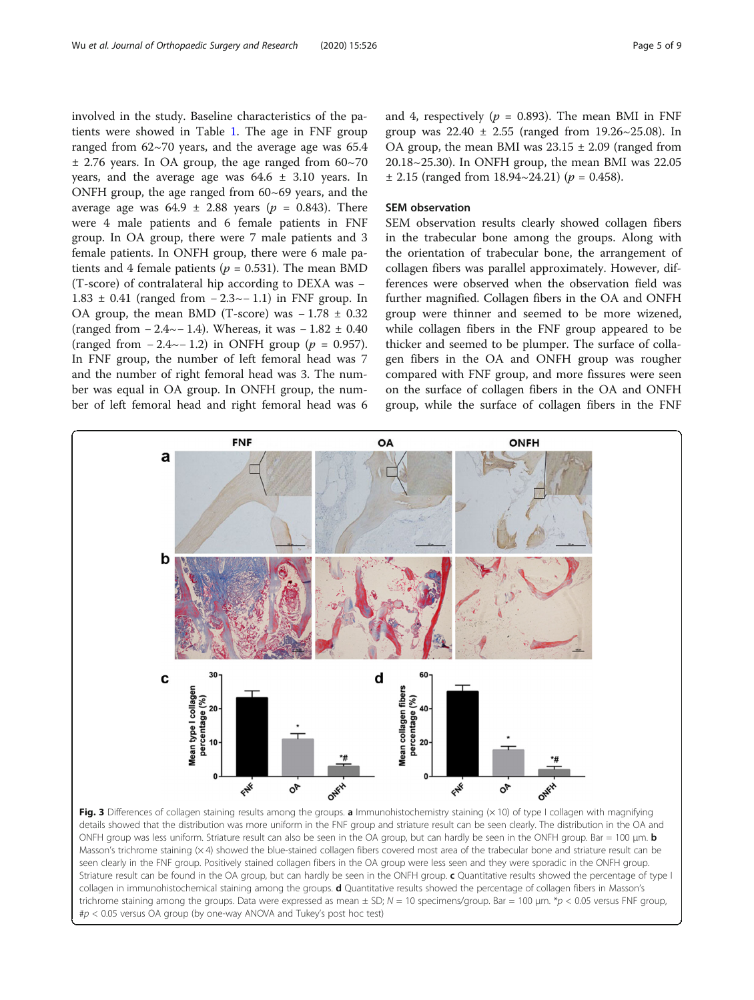<span id="page-4-0"></span>involved in the study. Baseline characteristics of the patients were showed in Table [1](#page-3-0). The age in FNF group ranged from 62~70 years, and the average age was 65.4  $\pm$  2.76 years. In OA group, the age ranged from 60~70 years, and the average age was  $64.6 \pm 3.10$  years. In ONFH group, the age ranged from 60~69 years, and the average age was  $64.9 \pm 2.88$  years ( $p = 0.843$ ). There were 4 male patients and 6 female patients in FNF group. In OA group, there were 7 male patients and 3 female patients. In ONFH group, there were 6 male patients and 4 female patients ( $p = 0.531$ ). The mean BMD (T-score) of contralateral hip according to DEXA was − 1.83 ± 0.41 (ranged from − 2.3~− 1.1) in FNF group. In OA group, the mean BMD (T-score) was  $-1.78 \pm 0.32$ (ranged from  $-2.4$   $\sim$  - 1.4). Whereas, it was  $-1.82 \pm 0.40$ (ranged from  $-2.4$   $\sim$  - 1.2) in ONFH group ( $p = 0.957$ ). In FNF group, the number of left femoral head was 7 and the number of right femoral head was 3. The number was equal in OA group. In ONFH group, the number of left femoral head and right femoral head was 6 and 4, respectively ( $p = 0.893$ ). The mean BMI in FNF group was  $22.40 \pm 2.55$  (ranged from  $19.26 \times 25.08$ ). In OA group, the mean BMI was  $23.15 \pm 2.09$  (ranged from 20.18~25.30). In ONFH group, the mean BMI was 22.05  $\pm$  2.15 (ranged from 18.94~24.21) ( $p = 0.458$ ).

# SEM observation

SEM observation results clearly showed collagen fibers in the trabecular bone among the groups. Along with the orientation of trabecular bone, the arrangement of collagen fibers was parallel approximately. However, differences were observed when the observation field was further magnified. Collagen fibers in the OA and ONFH group were thinner and seemed to be more wizened, while collagen fibers in the FNF group appeared to be thicker and seemed to be plumper. The surface of collagen fibers in the OA and ONFH group was rougher compared with FNF group, and more fissures were seen on the surface of collagen fibers in the OA and ONFH group, while the surface of collagen fibers in the FNF



Striature result can be found in the OA group, but can hardly be seen in the ONFH group. c Quantitative results showed the percentage of type I collagen in immunohistochemical staining among the groups. d Quantitative results showed the percentage of collagen fibers in Masson's trichrome staining among the groups. Data were expressed as mean  $\pm$  SD;  $N = 10$  specimens/group. Bar = 100 µm.  $*p < 0.05$  versus FNF group, #p < 0.05 versus OA group (by one-way ANOVA and Tukey's post hoc test)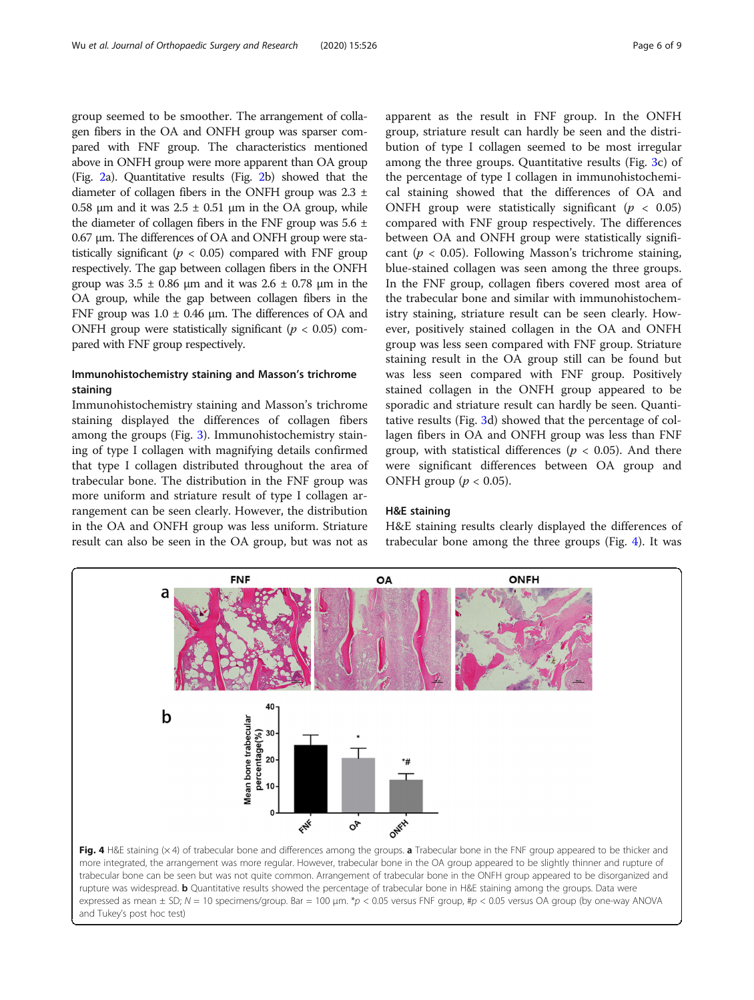<span id="page-5-0"></span>group seemed to be smoother. The arrangement of collagen fibers in the OA and ONFH group was sparser compared with FNF group. The characteristics mentioned above in ONFH group were more apparent than OA group (Fig. [2a](#page-3-0)). Quantitative results (Fig. [2](#page-3-0)b) showed that the diameter of collagen fibers in the ONFH group was  $2.3 \pm$ 0.58 μm and it was  $2.5 \pm 0.51$  μm in the OA group, while the diameter of collagen fibers in the FNF group was  $5.6 \pm$ 0.67 μm. The differences of OA and ONFH group were statistically significant ( $p < 0.05$ ) compared with FNF group respectively. The gap between collagen fibers in the ONFH group was  $3.5 \pm 0.86$  μm and it was  $2.6 \pm 0.78$  μm in the OA group, while the gap between collagen fibers in the FNF group was  $1.0 \pm 0.46$  µm. The differences of OA and ONFH group were statistically significant ( $p < 0.05$ ) compared with FNF group respectively.

# Immunohistochemistry staining and Masson's trichrome staining

Immunohistochemistry staining and Masson's trichrome staining displayed the differences of collagen fibers among the groups (Fig. [3\)](#page-4-0). Immunohistochemistry staining of type I collagen with magnifying details confirmed that type I collagen distributed throughout the area of trabecular bone. The distribution in the FNF group was more uniform and striature result of type I collagen arrangement can be seen clearly. However, the distribution in the OA and ONFH group was less uniform. Striature result can also be seen in the OA group, but was not as apparent as the result in FNF group. In the ONFH group, striature result can hardly be seen and the distribution of type I collagen seemed to be most irregular among the three groups. Quantitative results (Fig. [3c](#page-4-0)) of the percentage of type I collagen in immunohistochemical staining showed that the differences of OA and ONFH group were statistically significant ( $p < 0.05$ ) compared with FNF group respectively. The differences between OA and ONFH group were statistically significant ( $p < 0.05$ ). Following Masson's trichrome staining, blue-stained collagen was seen among the three groups. In the FNF group, collagen fibers covered most area of the trabecular bone and similar with immunohistochemistry staining, striature result can be seen clearly. However, positively stained collagen in the OA and ONFH group was less seen compared with FNF group. Striature staining result in the OA group still can be found but was less seen compared with FNF group. Positively stained collagen in the ONFH group appeared to be sporadic and striature result can hardly be seen. Quantitative results (Fig. [3](#page-4-0)d) showed that the percentage of collagen fibers in OA and ONFH group was less than FNF group, with statistical differences ( $p < 0.05$ ). And there were significant differences between OA group and ONFH group ( $p < 0.05$ ).

#### H&E staining

H&E staining results clearly displayed the differences of trabecular bone among the three groups (Fig. 4). It was

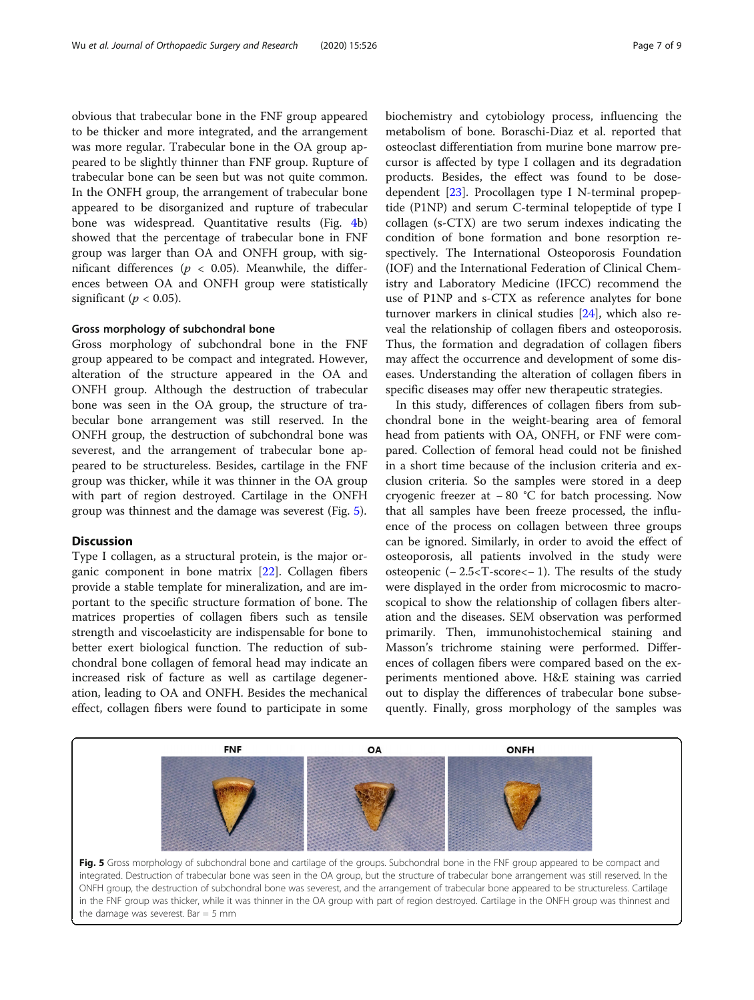obvious that trabecular bone in the FNF group appeared to be thicker and more integrated, and the arrangement was more regular. Trabecular bone in the OA group appeared to be slightly thinner than FNF group. Rupture of trabecular bone can be seen but was not quite common. In the ONFH group, the arrangement of trabecular bone appeared to be disorganized and rupture of trabecular bone was widespread. Quantitative results (Fig. [4](#page-5-0)b) showed that the percentage of trabecular bone in FNF group was larger than OA and ONFH group, with significant differences ( $p < 0.05$ ). Meanwhile, the differences between OA and ONFH group were statistically significant ( $p < 0.05$ ).

#### Gross morphology of subchondral bone

Gross morphology of subchondral bone in the FNF group appeared to be compact and integrated. However, alteration of the structure appeared in the OA and ONFH group. Although the destruction of trabecular bone was seen in the OA group, the structure of trabecular bone arrangement was still reserved. In the ONFH group, the destruction of subchondral bone was severest, and the arrangement of trabecular bone appeared to be structureless. Besides, cartilage in the FNF group was thicker, while it was thinner in the OA group with part of region destroyed. Cartilage in the ONFH group was thinnest and the damage was severest (Fig. 5).

# **Discussion**

Type I collagen, as a structural protein, is the major organic component in bone matrix [\[22](#page-8-0)]. Collagen fibers provide a stable template for mineralization, and are important to the specific structure formation of bone. The matrices properties of collagen fibers such as tensile strength and viscoelasticity are indispensable for bone to better exert biological function. The reduction of subchondral bone collagen of femoral head may indicate an increased risk of facture as well as cartilage degeneration, leading to OA and ONFH. Besides the mechanical effect, collagen fibers were found to participate in some

biochemistry and cytobiology process, influencing the metabolism of bone. Boraschi-Diaz et al. reported that osteoclast differentiation from murine bone marrow precursor is affected by type I collagen and its degradation products. Besides, the effect was found to be dosedependent [\[23\]](#page-8-0). Procollagen type I N-terminal propeptide (P1NP) and serum C-terminal telopeptide of type I collagen (s-CTX) are two serum indexes indicating the condition of bone formation and bone resorption respectively. The International Osteoporosis Foundation (IOF) and the International Federation of Clinical Chemistry and Laboratory Medicine (IFCC) recommend the use of P1NP and s-CTX as reference analytes for bone turnover markers in clinical studies [\[24\]](#page-8-0), which also reveal the relationship of collagen fibers and osteoporosis. Thus, the formation and degradation of collagen fibers may affect the occurrence and development of some diseases. Understanding the alteration of collagen fibers in specific diseases may offer new therapeutic strategies.

In this study, differences of collagen fibers from subchondral bone in the weight-bearing area of femoral head from patients with OA, ONFH, or FNF were compared. Collection of femoral head could not be finished in a short time because of the inclusion criteria and exclusion criteria. So the samples were stored in a deep cryogenic freezer at − 80 °C for batch processing. Now that all samples have been freeze processed, the influence of the process on collagen between three groups can be ignored. Similarly, in order to avoid the effect of osteoporosis, all patients involved in the study were osteopenic (− 2.5<T-score<− 1). The results of the study were displayed in the order from microcosmic to macroscopical to show the relationship of collagen fibers alteration and the diseases. SEM observation was performed primarily. Then, immunohistochemical staining and Masson's trichrome staining were performed. Differences of collagen fibers were compared based on the experiments mentioned above. H&E staining was carried out to display the differences of trabecular bone subsequently. Finally, gross morphology of the samples was

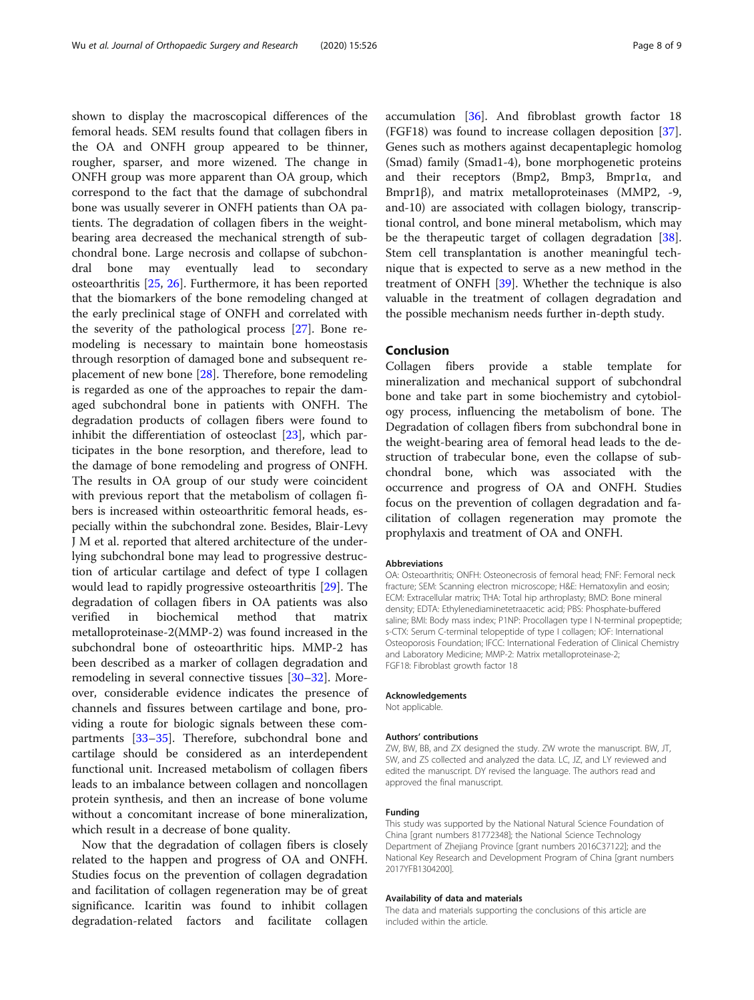shown to display the macroscopical differences of the femoral heads. SEM results found that collagen fibers in the OA and ONFH group appeared to be thinner, rougher, sparser, and more wizened. The change in ONFH group was more apparent than OA group, which correspond to the fact that the damage of subchondral bone was usually severer in ONFH patients than OA patients. The degradation of collagen fibers in the weightbearing area decreased the mechanical strength of subchondral bone. Large necrosis and collapse of subchondral bone may eventually lead to secondary osteoarthritis [[25,](#page-8-0) [26\]](#page-8-0). Furthermore, it has been reported that the biomarkers of the bone remodeling changed at the early preclinical stage of ONFH and correlated with the severity of the pathological process [\[27](#page-8-0)]. Bone remodeling is necessary to maintain bone homeostasis through resorption of damaged bone and subsequent replacement of new bone [\[28\]](#page-8-0). Therefore, bone remodeling is regarded as one of the approaches to repair the damaged subchondral bone in patients with ONFH. The degradation products of collagen fibers were found to inhibit the differentiation of osteoclast [[23\]](#page-8-0), which participates in the bone resorption, and therefore, lead to the damage of bone remodeling and progress of ONFH. The results in OA group of our study were coincident with previous report that the metabolism of collagen fibers is increased within osteoarthritic femoral heads, especially within the subchondral zone. Besides, Blair-Levy J M et al. reported that altered architecture of the underlying subchondral bone may lead to progressive destruction of articular cartilage and defect of type I collagen would lead to rapidly progressive osteoarthritis [\[29\]](#page-8-0). The degradation of collagen fibers in OA patients was also verified in biochemical method that matrix metalloproteinase-2(MMP-2) was found increased in the subchondral bone of osteoarthritic hips. MMP-2 has been described as a marker of collagen degradation and remodeling in several connective tissues [\[30](#page-8-0)–[32\]](#page-8-0). Moreover, considerable evidence indicates the presence of channels and fissures between cartilage and bone, providing a route for biologic signals between these compartments [\[33](#page-8-0)–[35\]](#page-8-0). Therefore, subchondral bone and cartilage should be considered as an interdependent functional unit. Increased metabolism of collagen fibers leads to an imbalance between collagen and noncollagen protein synthesis, and then an increase of bone volume without a concomitant increase of bone mineralization, which result in a decrease of bone quality.

Now that the degradation of collagen fibers is closely related to the happen and progress of OA and ONFH. Studies focus on the prevention of collagen degradation and facilitation of collagen regeneration may be of great significance. Icaritin was found to inhibit collagen degradation-related factors and facilitate collagen accumulation [\[36\]](#page-8-0). And fibroblast growth factor 18 (FGF18) was found to increase collagen deposition [\[37](#page-8-0)]. Genes such as mothers against decapentaplegic homolog (Smad) family (Smad1-4), bone morphogenetic proteins and their receptors (Bmp2, Bmp3, Bmpr1α, and Bmpr1β), and matrix metalloproteinases (MMP2, -9, and-10) are associated with collagen biology, transcriptional control, and bone mineral metabolism, which may be the therapeutic target of collagen degradation [\[38](#page-8-0)]. Stem cell transplantation is another meaningful technique that is expected to serve as a new method in the treatment of ONFH [\[39](#page-8-0)]. Whether the technique is also valuable in the treatment of collagen degradation and the possible mechanism needs further in-depth study.

# Conclusion

Collagen fibers provide a stable template for mineralization and mechanical support of subchondral bone and take part in some biochemistry and cytobiology process, influencing the metabolism of bone. The Degradation of collagen fibers from subchondral bone in the weight-bearing area of femoral head leads to the destruction of trabecular bone, even the collapse of subchondral bone, which was associated with the occurrence and progress of OA and ONFH. Studies focus on the prevention of collagen degradation and facilitation of collagen regeneration may promote the prophylaxis and treatment of OA and ONFH.

#### Abbreviations

OA: Osteoarthritis; ONFH: Osteonecrosis of femoral head; FNF: Femoral neck fracture; SEM: Scanning electron microscope; H&E: Hematoxylin and eosin; ECM: Extracellular matrix; THA: Total hip arthroplasty; BMD: Bone mineral density; EDTA: Ethylenediaminetetraacetic acid; PBS: Phosphate-buffered saline; BMI: Body mass index; P1NP: Procollagen type I N-terminal propeptide; s-CTX: Serum C-terminal telopeptide of type I collagen; IOF: International Osteoporosis Foundation; IFCC: International Federation of Clinical Chemistry and Laboratory Medicine; MMP-2: Matrix metalloproteinase-2; FGF18: Fibroblast growth factor 18

#### Acknowledgements

Not applicable.

#### Authors' contributions

ZW, BW, BB, and ZX designed the study. ZW wrote the manuscript. BW, JT, SW, and ZS collected and analyzed the data. LC, JZ, and LY reviewed and edited the manuscript. DY revised the language. The authors read and approved the final manuscript.

#### Funding

This study was supported by the National Natural Science Foundation of China [grant numbers 81772348]; the National Science Technology Department of Zhejiang Province [grant numbers 2016C37122]; and the National Key Research and Development Program of China [grant numbers 2017YFB1304200].

#### Availability of data and materials

The data and materials supporting the conclusions of this article are included within the article.